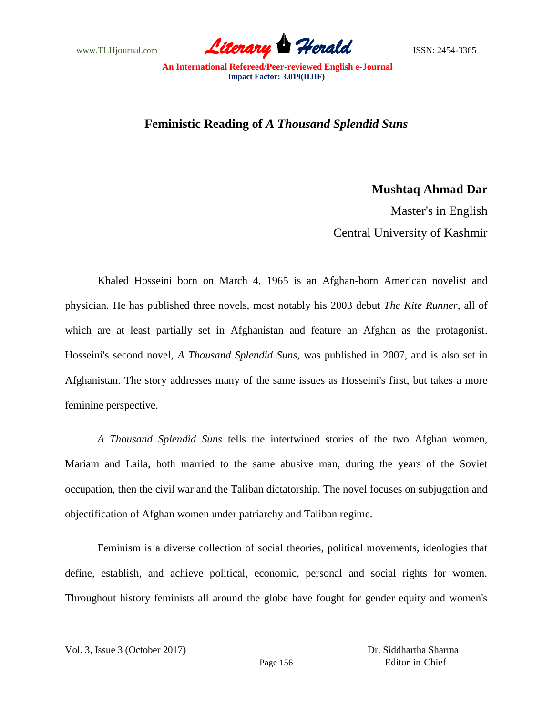

**Feministic Reading of** *A Thousand Splendid Suns*

**Mushtaq Ahmad Dar**

Master's in English Central University of Kashmir

Khaled Hosseini born on March 4, 1965 is an Afghan-born American novelist and physician. He has published three novels, most notably his 2003 debut *The Kite Runner*, all of which are at least partially set in Afghanistan and feature an Afghan as the protagonist. Hosseini's second novel, *A Thousand Splendid Suns*, was published in 2007, and is also set in Afghanistan. The story addresses many of the same issues as Hosseini's first, but takes a more feminine perspective.

*A Thousand Splendid Suns* tells the intertwined stories of the two Afghan women, Mariam and Laila, both married to the same abusive man, during the years of the Soviet occupation, then the civil war and the Taliban dictatorship. The novel focuses on subjugation and objectification of Afghan women under patriarchy and Taliban regime.

Feminism is a diverse collection of social theories, political movements, ideologies that define, establish, and achieve political, economic, personal and social rights for women. Throughout history feminists all around the globe have fought for gender equity and women's

Vol. 3, Issue 3 (October 2017)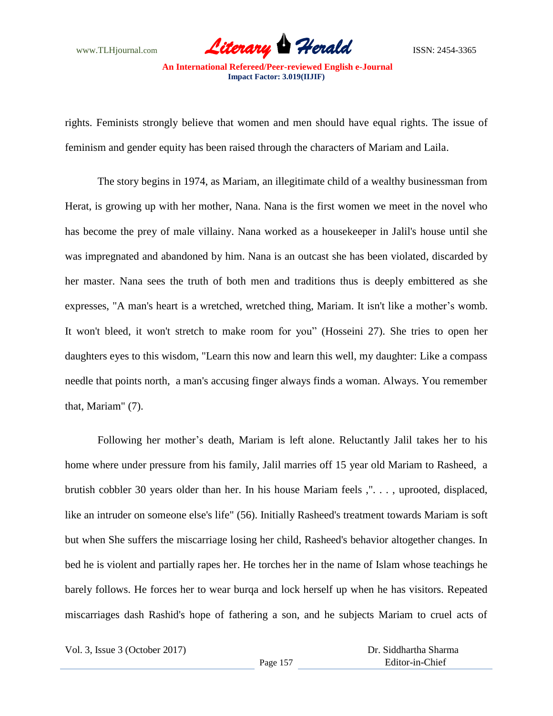

rights. Feminists strongly believe that women and men should have equal rights. The issue of feminism and gender equity has been raised through the characters of Mariam and Laila.

The story begins in 1974, as Mariam, an illegitimate child of a wealthy businessman from Herat, is growing up with her mother, Nana. Nana is the first women we meet in the novel who has become the prey of male villainy. Nana worked as a housekeeper in Jalil's house until she was impregnated and abandoned by him. Nana is an outcast she has been violated, discarded by her master. Nana sees the truth of both men and traditions thus is deeply embittered as she expresses, "A man's heart is a wretched, wretched thing, Mariam. It isn't like a mother's womb. It won't bleed, it won't stretch to make room for you" (Hosseini 27). She tries to open her daughters eyes to this wisdom, "Learn this now and learn this well, my daughter: Like a compass needle that points north, a man's accusing finger always finds a woman. Always. You remember that, Mariam" (7).

Following her mother's death, Mariam is left alone. Reluctantly Jalil takes her to his home where under pressure from his family, Jalil marries off 15 year old Mariam to Rasheed, a brutish cobbler 30 years older than her. In his house Mariam feels ,". . . , uprooted, displaced, like an intruder on someone else's life" (56). Initially Rasheed's treatment towards Mariam is soft but when She suffers the miscarriage losing her child, Rasheed's behavior altogether changes. In bed he is violent and partially rapes her. He torches her in the name of Islam whose teachings he barely follows. He forces her to wear burqa and lock herself up when he has visitors. Repeated miscarriages dash Rashid's hope of fathering a son, and he subjects Mariam to cruel acts of

Vol. 3, Issue 3 (October 2017)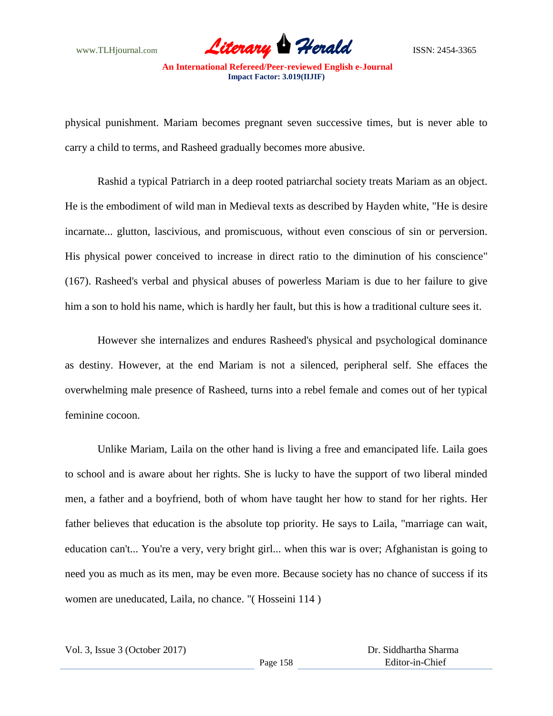

physical punishment. Mariam becomes pregnant seven successive times, but is never able to carry a child to terms, and Rasheed gradually becomes more abusive.

Rashid a typical Patriarch in a deep rooted patriarchal society treats Mariam as an object. He is the embodiment of wild man in Medieval texts as described by Hayden white, "He is desire incarnate... glutton, lascivious, and promiscuous, without even conscious of sin or perversion. His physical power conceived to increase in direct ratio to the diminution of his conscience" (167). Rasheed's verbal and physical abuses of powerless Mariam is due to her failure to give him a son to hold his name, which is hardly her fault, but this is how a traditional culture sees it.

However she internalizes and endures Rasheed's physical and psychological dominance as destiny. However, at the end Mariam is not a silenced, peripheral self. She effaces the overwhelming male presence of Rasheed, turns into a rebel female and comes out of her typical feminine cocoon.

Unlike Mariam, Laila on the other hand is living a free and emancipated life. Laila goes to school and is aware about her rights. She is lucky to have the support of two liberal minded men, a father and a boyfriend, both of whom have taught her how to stand for her rights. Her father believes that education is the absolute top priority. He says to Laila, "marriage can wait, education can't... You're a very, very bright girl... when this war is over; Afghanistan is going to need you as much as its men, may be even more. Because society has no chance of success if its women are uneducated, Laila, no chance. "( Hosseini 114 )

Vol. 3, Issue 3 (October 2017)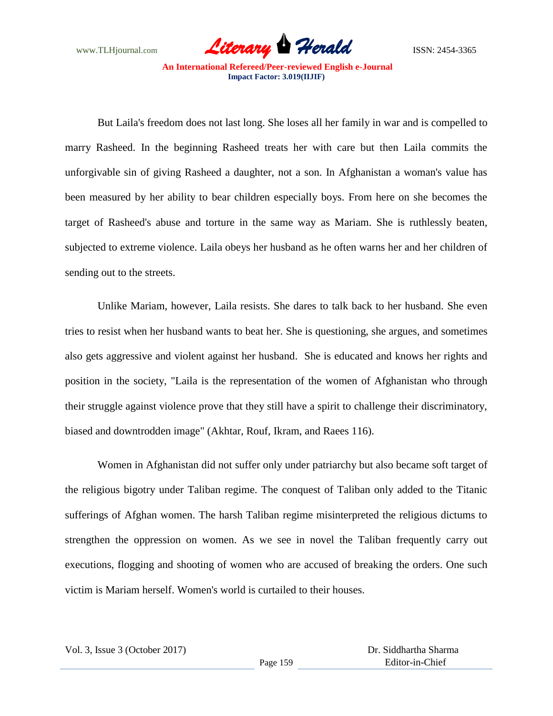

But Laila's freedom does not last long. She loses all her family in war and is compelled to marry Rasheed. In the beginning Rasheed treats her with care but then Laila commits the unforgivable sin of giving Rasheed a daughter, not a son. In Afghanistan a woman's value has been measured by her ability to bear children especially boys. From here on she becomes the target of Rasheed's abuse and torture in the same way as Mariam. She is ruthlessly beaten, subjected to extreme violence. Laila obeys her husband as he often warns her and her children of sending out to the streets.

Unlike Mariam, however, Laila resists. She dares to talk back to her husband. She even tries to resist when her husband wants to beat her. She is questioning, she argues, and sometimes also gets aggressive and violent against her husband. She is educated and knows her rights and position in the society, "Laila is the representation of the women of Afghanistan who through their struggle against violence prove that they still have a spirit to challenge their discriminatory, biased and downtrodden image" (Akhtar, Rouf, Ikram, and Raees 116).

Women in Afghanistan did not suffer only under patriarchy but also became soft target of the religious bigotry under Taliban regime. The conquest of Taliban only added to the Titanic sufferings of Afghan women. The harsh Taliban regime misinterpreted the religious dictums to strengthen the oppression on women. As we see in novel the Taliban frequently carry out executions, flogging and shooting of women who are accused of breaking the orders. One such victim is Mariam herself. Women's world is curtailed to their houses.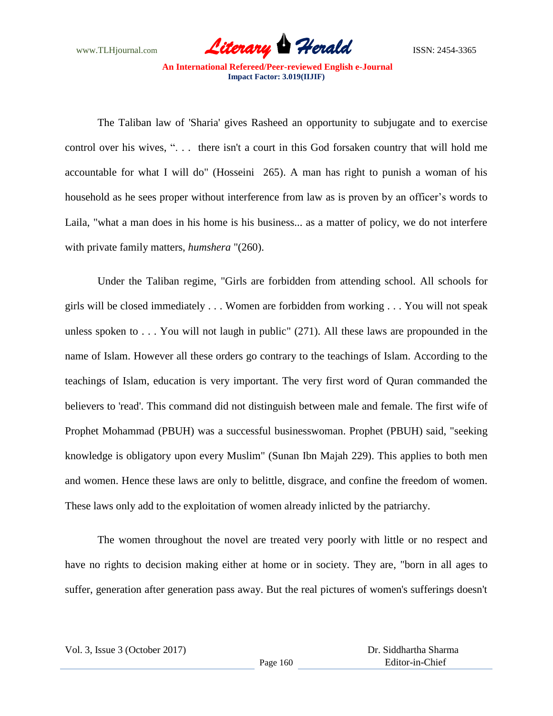

The Taliban law of 'Sharia' gives Rasheed an opportunity to subjugate and to exercise control over his wives, ". . . there isn't a court in this God forsaken country that will hold me accountable for what I will do" (Hosseini 265). A man has right to punish a woman of his household as he sees proper without interference from law as is proven by an officer's words to Laila, "what a man does in his home is his business... as a matter of policy, we do not interfere with private family matters, *humshera* "(260).

Under the Taliban regime, "Girls are forbidden from attending school. All schools for girls will be closed immediately . . . Women are forbidden from working . . . You will not speak unless spoken to . . . You will not laugh in public" (271). All these laws are propounded in the name of Islam. However all these orders go contrary to the teachings of Islam. According to the teachings of Islam, education is very important. The very first word of Quran commanded the believers to 'read'. This command did not distinguish between male and female. The first wife of Prophet Mohammad (PBUH) was a successful businesswoman. Prophet (PBUH) said, "seeking knowledge is obligatory upon every Muslim" (Sunan Ibn Majah 229). This applies to both men and women. Hence these laws are only to belittle, disgrace, and confine the freedom of women. These laws only add to the exploitation of women already inlicted by the patriarchy.

The women throughout the novel are treated very poorly with little or no respect and have no rights to decision making either at home or in society. They are, "born in all ages to suffer, generation after generation pass away. But the real pictures of women's sufferings doesn't

Vol. 3, Issue 3 (October 2017)